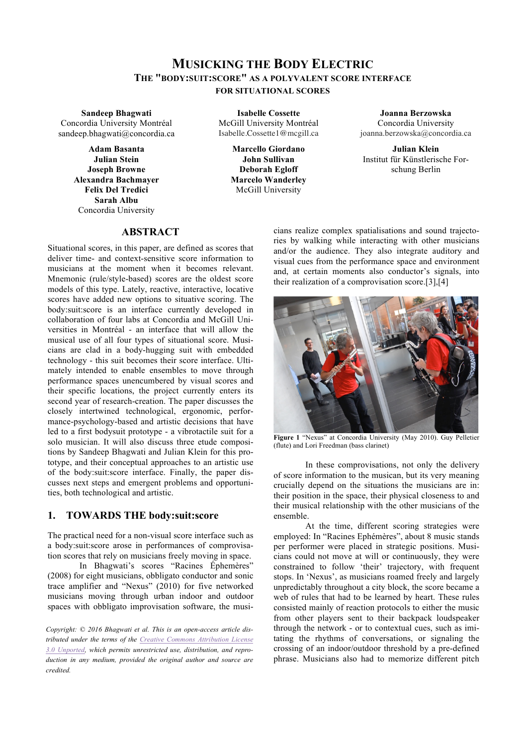# **MUSICKING THE BODY ELECTRIC THE "BODY:SUIT:SCORE" AS A POLYVALENT SCORE INTERFACE FOR SITUATIONAL SCORES**

**Sandeep Bhagwati** Concordia University Montréal sandeep.bhagwati@concordia.ca

> **Adam Basanta Julian Stein Joseph Browne Alexandra Bachmayer Felix Del Tredici Sarah Albu** Concordia University

**Isabelle Cossette** McGill University Montréal Isabelle.Cossette1@mcgill.ca

> **Marcello Giordano John Sullivan Deborah Egloff Marcelo Wanderley** McGill University

**Joanna Berzowska** Concordia University joanna.berzowska@concordia.ca

**Julian Klein** Institut für Künstlerische Forschung Berlin

## **ABSTRACT**

Situational scores, in this paper, are defined as scores that deliver time- and context-sensitive score information to musicians at the moment when it becomes relevant. Mnemonic (rule/style-based) scores are the oldest score models of this type. Lately, reactive, interactive, locative scores have added new options to situative scoring. The body:suit:score is an interface currently developed in collaboration of four labs at Concordia and McGill Universities in Montréal - an interface that will allow the musical use of all four types of situational score. Musicians are clad in a body-hugging suit with embedded technology - this suit becomes their score interface. Ultimately intended to enable ensembles to move through performance spaces unencumbered by visual scores and their specific locations, the project currently enters its second year of research-creation. The paper discusses the closely intertwined technological, ergonomic, performance-psychology-based and artistic decisions that have led to a first bodysuit prototype - a vibrotactile suit for a solo musician. It will also discuss three etude compositions by Sandeep Bhagwati and Julian Klein for this prototype, and their conceptual approaches to an artistic use of the body:suit:score interface. Finally, the paper discusses next steps and emergent problems and opportunities, both technological and artistic.

## **1. TOWARDS THE body:suit:score**

The practical need for a non-visual score interface such as a body:suit:score arose in performances of comprovisation scores that rely on musicians freely moving in space.

In Bhagwati's scores "Racines Éphemères" (2008) for eight musicians, obbligato conductor and sonic trace amplifier and "Nexus" (2010) for five networked musicians moving through urban indoor and outdoor spaces with obbligato improvisation software, the musi-

*Copyright: © 2016 Bhagwati et al. This is an open-access article distributed under the terms of the Creative Commons Attribution License 3.0 Unported, which permits unrestricted use, distribution, and reproduction in any medium, provided the original author and source are credited.*

cians realize complex spatialisations and sound trajectories by walking while interacting with other musicians and/or the audience. They also integrate auditory and visual cues from the performance space and environment and, at certain moments also conductor's signals, into their realization of a comprovisation score.[3],[4]



**Figure 1** "Nexus" at Concordia University (May 2010). Guy Pelletier (flute) and Lori Freedman (bass clarinet)

In these comprovisations, not only the delivery of score information to the musican, but its very meaning crucially depend on the situations the musicians are in: their position in the space, their physical closeness to and their musical relationship with the other musicians of the ensemble.

At the time, different scoring strategies were employed: In "Racines Ephémères", about 8 music stands per performer were placed in strategic positions. Musicians could not move at will or continuously, they were constrained to follow 'their' trajectory, with frequent stops. In 'Nexus', as musicians roamed freely and largely unpredictably throughout a city block, the score became a web of rules that had to be learned by heart. These rules consisted mainly of reaction protocols to either the music from other players sent to their backpack loudspeaker through the network - or to contextual cues, such as imitating the rhythms of conversations, or signaling the crossing of an indoor/outdoor threshold by a pre-defined phrase. Musicians also had to memorize different pitch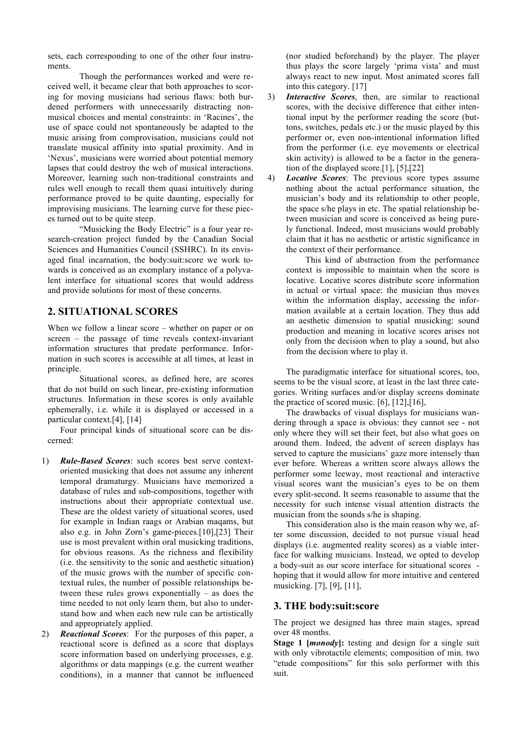sets, each corresponding to one of the other four instruments.

Though the performances worked and were received well, it became clear that both approaches to scoring for moving musicians had serious flaws: both burdened performers with unnecessarily distracting nonmusical choices and mental constraints: in 'Racines', the use of space could not spontaneously be adapted to the music arising from comprovisation, musicians could not translate musical affinity into spatial proximity. And in 'Nexus', musicians were worried about potential memory lapses that could destroy the web of musical interactions. Moreover, learning such non-traditional constraints and rules well enough to recall them quasi intuitively during performance proved to be quite daunting, especially for improvising musicians. The learning curve for these pieces turned out to be quite steep.

"Musicking the Body Electric" is a four year research-creation project funded by the Canadian Social Sciences and Humanities Council (SSHRC). In its envisaged final incarnation, the body:suit:score we work towards is conceived as an exemplary instance of a polyvalent interface for situational scores that would address and provide solutions for most of these concerns.

## **2. SITUATIONAL SCORES**

When we follow a linear score – whether on paper or on screen – the passage of time reveals context-invariant information structures that predate performance. Information in such scores is accessible at all times, at least in principle.

Situational scores, as defined here, are scores that do not build on such linear, pre-existing information structures. Information in these scores is only available ephemerally, i.e. while it is displayed or accessed in a particular context.[4], [14]

Four principal kinds of situational score can be discerned:

- 1) *Rule-Based Scores*: such scores best serve contextoriented musicking that does not assume any inherent temporal dramaturgy. Musicians have memorized a database of rules and sub-compositions, together with instructions about their appropriate contextual use. These are the oldest variety of situational scores, used for example in Indian raags or Arabian maqams, but also e.g. in John Zorn's game-pieces.[10],[23] Their use is most prevalent within oral musicking traditions, for obvious reasons. As the richness and flexibility (i.e. the sensitivity to the sonic and aesthetic situation) of the music grows with the number of specific contextual rules, the number of possible relationships between these rules grows exponentially – as does the time needed to not only learn them, but also to understand how and when each new rule can be artistically and appropriately applied.
- 2) *Reactional Scores*: For the purposes of this paper, a reactional score is defined as a score that displays score information based on underlying processes, e.g. algorithms or data mappings (e.g. the current weather conditions), in a manner that cannot be influenced

(nor studied beforehand) by the player. The player thus plays the score largely 'prima vista' and must always react to new input. Most animated scores fall into this category. [17]

- 3) *Interactive Scores*, then, are similar to reactional scores, with the decisive difference that either intentional input by the performer reading the score (buttons, switches, pedals etc.) or the music played by this performer or, even non-intentional information lifted from the performer (i.e. eye movements or electrical skin activity) is allowed to be a factor in the generation of the displayed score.[1], [5],[22]
- 4) *Locative Scores*: The previous score types assume nothing about the actual performance situation, the musician's body and its relationship to other people, the space s/he plays in etc. The spatial relationship between musician and score is conceived as being purely functional. Indeed, most musicians would probably claim that it has no aesthetic or artistic significance in the context of their performance.

This kind of abstraction from the performance context is impossible to maintain when the score is locative. Locative scores distribute score information in actual or virtual space: the musician thus moves within the information display, accessing the information available at a certain location. They thus add an aesthetic dimension to spatial musicking: sound production and meaning in locative scores arises not only from the decision when to play a sound, but also from the decision where to play it.

The paradigmatic interface for situational scores, too, seems to be the visual score, at least in the last three categories. Writing surfaces and/or display screens dominate the practice of scored music.  $[6]$ ,  $[12]$ ,  $[16]$ ,

The drawbacks of visual displays for musicians wandering through a space is obvious: they cannot see - not only where they will set their feet, but also what goes on around them. Indeed, the advent of screen displays has served to capture the musicians' gaze more intensely than ever before. Whereas a written score always allows the performer some leeway, most reactional and interactive visual scores want the musician's eyes to be on them every split-second. It seems reasonable to assume that the necessity for such intense visual attention distracts the musician from the sounds s/he is shaping.

This consideration also is the main reason why we, after some discussion, decided to not pursue visual head displays (i.e. augmented reality scores) as a viable interface for walking musicians. Instead, we opted to develop a body-suit as our score interface for situational scores hoping that it would allow for more intuitive and centered musicking. [7], [9], [11],

### **3. THE body:suit:score**

The project we designed has three main stages, spread over 48 months.

**Stage 1 [***monody***]:** testing and design for a single suit with only vibrotactile elements; composition of min. two "etude compositions" for this solo performer with this suit.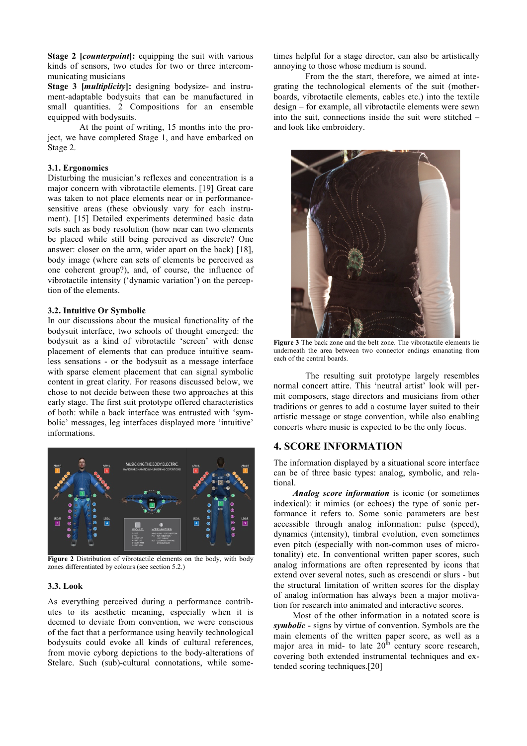**Stage 2 [***counterpoint***]:** equipping the suit with various kinds of sensors, two etudes for two or three intercommunicating musicians

**Stage 3 [***multiplicity***]:** designing bodysize- and instrument-adaptable bodysuits that can be manufactured in small quantities. 2 Compositions for an ensemble equipped with bodysuits.

At the point of writing, 15 months into the project, we have completed Stage 1, and have embarked on Stage 2.

#### **3.1. Ergonomics**

Disturbing the musician's reflexes and concentration is a major concern with vibrotactile elements. [19] Great care was taken to not place elements near or in performancesensitive areas (these obviously vary for each instrument). [15] Detailed experiments determined basic data sets such as body resolution (how near can two elements be placed while still being perceived as discrete? One answer: closer on the arm, wider apart on the back) [18], body image (where can sets of elements be perceived as one coherent group?), and, of course, the influence of vibrotactile intensity ('dynamic variation') on the perception of the elements.

#### **3.2. Intuitive Or Symbolic**

In our discussions about the musical functionality of the bodysuit interface, two schools of thought emerged: the bodysuit as a kind of vibrotactile 'screen' with dense placement of elements that can produce intuitive seamless sensations - or the bodysuit as a message interface with sparse element placement that can signal symbolic content in great clarity. For reasons discussed below, we chose to not decide between these two approaches at this early stage. The first suit prototype offered characteristics of both: while a back interface was entrusted with 'symbolic' messages, leg interfaces displayed more 'intuitive' informations.



**Figure 2** Distribution of vibrotactile elements on the body, with body zones differentiated by colours (see section 5.2.)

#### **3.3. Look**

As everything perceived during a performance contributes to its aesthetic meaning, especially when it is deemed to deviate from convention, we were conscious of the fact that a performance using heavily technological bodysuits could evoke all kinds of cultural references, from movie cyborg depictions to the body-alterations of Stelarc. Such (sub)-cultural connotations, while sometimes helpful for a stage director, can also be artistically annoying to those whose medium is sound.

From the the start, therefore, we aimed at integrating the technological elements of the suit (motherboards, vibrotactile elements, cables etc.) into the textile design – for example, all vibrotactile elements were sewn into the suit, connections inside the suit were stitched – and look like embroidery.



**Figure 3** The back zone and the belt zone. The vibrotactile elements lie underneath the area between two connector endings emanating from each of the central boards.

The resulting suit prototype largely resembles normal concert attire. This 'neutral artist' look will permit composers, stage directors and musicians from other traditions or genres to add a costume layer suited to their artistic message or stage convention, while also enabling concerts where music is expected to be the only focus.

### **4. SCORE INFORMATION**

The information displayed by a situational score interface can be of three basic types: analog, symbolic, and relational.

*Analog score information* is iconic (or sometimes indexical): it mimics (or echoes) the type of sonic performance it refers to. Some sonic parameters are best accessible through analog information: pulse (speed), dynamics (intensity), timbral evolution, even sometimes even pitch (especially with non-common uses of microtonality) etc. In conventional written paper scores, such analog informations are often represented by icons that extend over several notes, such as crescendi or slurs - but the structural limitation of written scores for the display of analog information has always been a major motivation for research into animated and interactive scores.

Most of the other information in a notated score is *symbolic* - signs by virtue of convention. Symbols are the main elements of the written paper score, as well as a major area in mid- to late  $20<sup>th</sup>$  century score research, covering both extended instrumental techniques and extended scoring techniques.[20]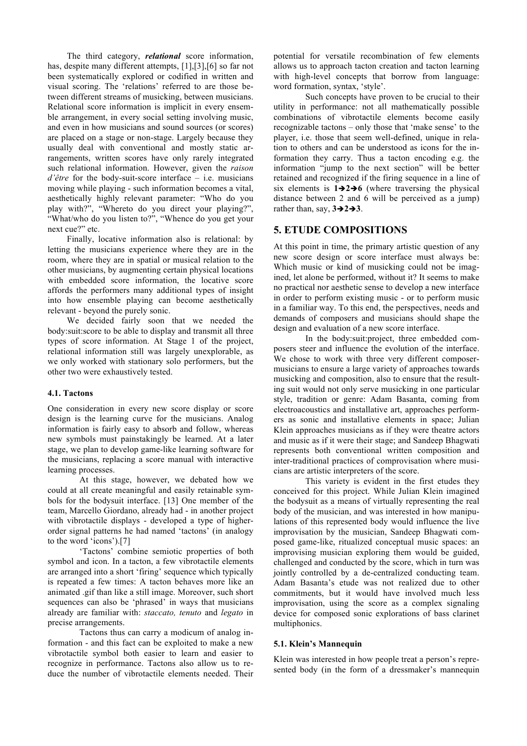The third category, *relational* score information, has, despite many different attempts, [1],[3],[6] so far not been systematically explored or codified in written and visual scoring. The 'relations' referred to are those between different streams of musicking, between musicians. Relational score information is implicit in every ensemble arrangement, in every social setting involving music, and even in how musicians and sound sources (or scores) are placed on a stage or non-stage. Largely because they usually deal with conventional and mostly static arrangements, written scores have only rarely integrated such relational information. However, given the *raison d'être* for the body-suit-score interface – i.e. musicians moving while playing - such information becomes a vital, aesthetically highly relevant parameter: "Who do you play with?", "Whereto do you direct your playing?", "What/who do you listen to?", "Whence do you get your next cue?" etc.

Finally, locative information also is relational: by letting the musicians experience where they are in the room, where they are in spatial or musical relation to the other musicians, by augmenting certain physical locations with embedded score information, the locative score affords the performers many additional types of insight into how ensemble playing can become aesthetically relevant - beyond the purely sonic.

We decided fairly soon that we needed the body:suit:score to be able to display and transmit all three types of score information. At Stage 1 of the project, relational information still was largely unexplorable, as we only worked with stationary solo performers, but the other two were exhaustively tested.

#### **4.1. Tactons**

One consideration in every new score display or score design is the learning curve for the musicians. Analog information is fairly easy to absorb and follow, whereas new symbols must painstakingly be learned. At a later stage, we plan to develop game-like learning software for the musicians, replacing a score manual with interactive learning processes.

At this stage, however, we debated how we could at all create meaningful and easily retainable symbols for the bodysuit interface. [13] One member of the team, Marcello Giordano, already had - in another project with vibrotactile displays - developed a type of higherorder signal patterns he had named 'tactons' (in analogy to the word 'icons').[7]

'Tactons' combine semiotic properties of both symbol and icon. In a tacton, a few vibrotactile elements are arranged into a short 'firing' sequence which typically is repeated a few times: A tacton behaves more like an animated .gif than like a still image. Moreover, such short sequences can also be 'phrased' in ways that musicians already are familiar with: *staccato, tenuto* and *legato* in precise arrangements.

Tactons thus can carry a modicum of analog information - and this fact can be exploited to make a new vibrotactile symbol both easier to learn and easier to recognize in performance. Tactons also allow us to reduce the number of vibrotactile elements needed. Their potential for versatile recombination of few elements allows us to approach tacton creation and tacton learning with high-level concepts that borrow from language: word formation, syntax, 'style'.

Such concepts have proven to be crucial to their utility in performance: not all mathematically possible combinations of vibrotactile elements become easily recognizable tactons – only those that 'make sense' to the player, i.e. those that seem well-defined, unique in relation to others and can be understood as icons for the information they carry. Thus a tacton encoding e.g. the information "jump to the next section" will be better retained and recognized if the firing sequence in a line of six elements is  $1\rightarrow 2\rightarrow 6$  (where traversing the physical distance between 2 and 6 will be perceived as a jump) rather than, say,  $3\rightarrow 2\rightarrow 3$ .

## **5. ETUDE COMPOSITIONS**

At this point in time, the primary artistic question of any new score design or score interface must always be: Which music or kind of musicking could not be imagined, let alone be performed, without it? It seems to make no practical nor aesthetic sense to develop a new interface in order to perform existing music - or to perform music in a familiar way. To this end, the perspectives, needs and demands of composers and musicians should shape the design and evaluation of a new score interface.

In the body:suit:project, three embedded composers steer and influence the evolution of the interface. We chose to work with three very different composermusicians to ensure a large variety of approaches towards musicking and composition, also to ensure that the resulting suit would not only serve musicking in one particular style, tradition or genre: Adam Basanta, coming from electroacoustics and installative art, approaches performers as sonic and installative elements in space; Julian Klein approaches musicians as if they were theatre actors and music as if it were their stage; and Sandeep Bhagwati represents both conventional written composition and inter-traditional practices of comprovisation where musicians are artistic interpreters of the score.

This variety is evident in the first etudes they conceived for this project. While Julian Klein imagined the bodysuit as a means of virtually representing the real body of the musician, and was interested in how manipulations of this represented body would influence the live improvisation by the musician, Sandeep Bhagwati composed game-like, ritualized conceptual music spaces: an improvising musician exploring them would be guided, challenged and conducted by the score, which in turn was jointly controlled by a de-centralized conducting team. Adam Basanta's etude was not realized due to other commitments, but it would have involved much less improvisation, using the score as a complex signaling device for composed sonic explorations of bass clarinet multiphonics.

#### **5.1. Klein's Mannequin**

Klein was interested in how people treat a person's represented body (in the form of a dressmaker's mannequin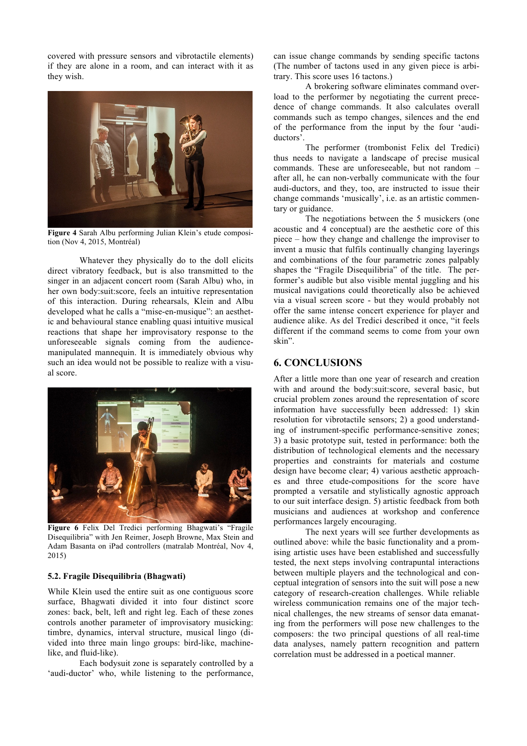covered with pressure sensors and vibrotactile elements) if they are alone in a room, and can interact with it as they wish.



**Figure 4** Sarah Albu performing Julian Klein's etude composition (Nov 4, 2015, Montréal)

Whatever they physically do to the doll elicits direct vibratory feedback, but is also transmitted to the singer in an adjacent concert room (Sarah Albu) who, in her own body:suit:score, feels an intuitive representation of this interaction. During rehearsals, Klein and Albu developed what he calls a "mise-en-musique": an aesthetic and behavioural stance enabling quasi intuitive musical reactions that shape her improvisatory response to the unforeseeable signals coming from the audiencemanipulated mannequin. It is immediately obvious why such an idea would not be possible to realize with a visual score.



**Figure 6** Felix Del Tredici performing Bhagwati's "Fragile Disequilibria" with Jen Reimer, Joseph Browne, Max Stein and Adam Basanta on iPad controllers (matralab Montréal, Nov 4, 2015)

### **5.2. Fragile Disequilibria (Bhagwati)**

While Klein used the entire suit as one contiguous score surface, Bhagwati divided it into four distinct score zones: back, belt, left and right leg. Each of these zones controls another parameter of improvisatory musicking: timbre, dynamics, interval structure, musical lingo (divided into three main lingo groups: bird-like, machinelike, and fluid-like).

Each bodysuit zone is separately controlled by a 'audi-ductor' who, while listening to the performance, can issue change commands by sending specific tactons (The number of tactons used in any given piece is arbitrary. This score uses 16 tactons.)

A brokering software eliminates command overload to the performer by negotiating the current precedence of change commands. It also calculates overall commands such as tempo changes, silences and the end of the performance from the input by the four 'audiductors'.

The performer (trombonist Felix del Tredici) thus needs to navigate a landscape of precise musical commands. These are unforeseeable, but not random – after all, he can non-verbally communicate with the four audi-ductors, and they, too, are instructed to issue their change commands 'musically', i.e. as an artistic commentary or guidance.

The negotiations between the 5 musickers (one acoustic and 4 conceptual) are the aesthetic core of this piece – how they change and challenge the improviser to invent a music that fulfils continually changing layerings and combinations of the four parametric zones palpably shapes the "Fragile Disequilibria" of the title. The performer's audible but also visible mental juggling and his musical navigations could theoretically also be achieved via a visual screen score - but they would probably not offer the same intense concert experience for player and audience alike. As del Tredici described it once, "it feels different if the command seems to come from your own skin".

### **6. CONCLUSIONS**

After a little more than one year of research and creation with and around the body:suit:score, several basic, but crucial problem zones around the representation of score information have successfully been addressed: 1) skin resolution for vibrotactile sensors; 2) a good understanding of instrument-specific performance-sensitive zones; 3) a basic prototype suit, tested in performance: both the distribution of technological elements and the necessary properties and constraints for materials and costume design have become clear; 4) various aesthetic approaches and three etude-compositions for the score have prompted a versatile and stylistically agnostic approach to our suit interface design. 5) artistic feedback from both musicians and audiences at workshop and conference performances largely encouraging.

The next years will see further developments as outlined above: while the basic functionality and a promising artistic uses have been established and successfully tested, the next steps involving contrapuntal interactions between multiple players and the technological and conceptual integration of sensors into the suit will pose a new category of research-creation challenges. While reliable wireless communication remains one of the major technical challenges, the new streams of sensor data emanating from the performers will pose new challenges to the composers: the two principal questions of all real-time data analyses, namely pattern recognition and pattern correlation must be addressed in a poetical manner.